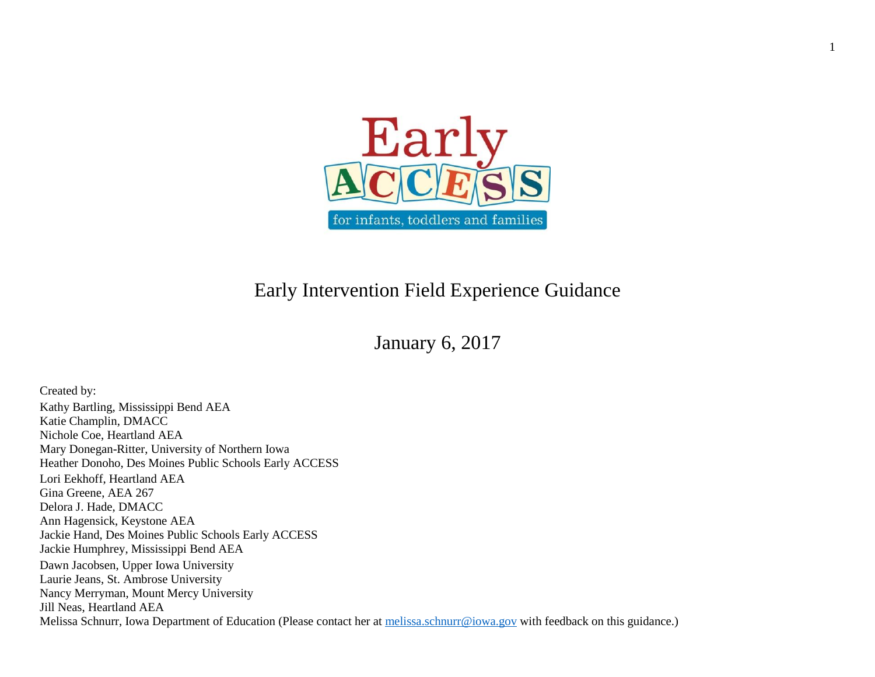

1

## Early Intervention Field Experience Guidance

## January 6, 2017

Created by: Kathy Bartling, Mississippi Bend AEA Katie Champlin, DMACC Nichole Coe, Heartland AEA Mary Donegan-Ritter, University of Northern Iowa Heather Donoho, Des Moines Public Schools Early ACCESS Lori Eekhoff, Heartland AEA Gina Greene, AEA 267 Delora J. Hade, DMACC Ann Hagensick, Keystone AEA Jackie Hand, Des Moines Public Schools Early ACCESS Jackie Humphrey, Mississippi Bend AEA Dawn Jacobsen, Upper Iowa University Laurie Jeans, St. Ambrose University Nancy Merryman, Mount Mercy University Jill Neas, Heartland AEA Melissa Schnurr, Iowa Department of Education (Please contact her at [melissa.schnurr@iowa.gov](mailto:melissa.schnurr@iowa.gov) with feedback on this guidance.)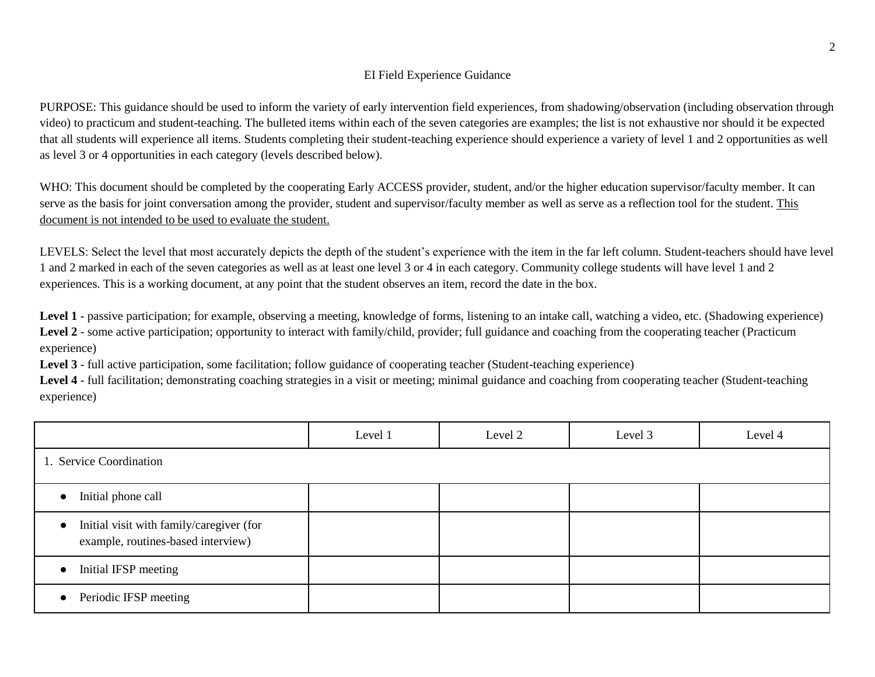## EI Field Experience Guidance

PURPOSE: This guidance should be used to inform the variety of early intervention field experiences, from shadowing/observation (including observation through video) to practicum and student-teaching. The bulleted items within each of the seven categories are examples; the list is not exhaustive nor should it be expected that all students will experience all items. Students completing their student-teaching experience should experience a variety of level 1 and 2 opportunities as well as level 3 or 4 opportunities in each category (levels described below).

WHO: This document should be completed by the cooperating Early ACCESS provider, student, and/or the higher education supervisor/faculty member. It can serve as the basis for joint conversation among the provider, student and supervisor/faculty member as well as serve as a reflection tool for the student. This document is not intended to be used to evaluate the student.

LEVELS: Select the level that most accurately depicts the depth of the student's experience with the item in the far left column. Student-teachers should have level 1 and 2 marked in each of the seven categories as well as at least one level 3 or 4 in each category. Community college students will have level 1 and 2 experiences. This is a working document, at any point that the student observes an item, record the date in the box.

Level 1 - passive participation; for example, observing a meeting, knowledge of forms, listening to an intake call, watching a video, etc. (Shadowing experience) Level 2 - some active participation; opportunity to interact with family/child, provider; full guidance and coaching from the cooperating teacher (Practicum experience)

**Level 3** - full active participation, some facilitation; follow guidance of cooperating teacher (Student-teaching experience)

**Level 4** - full facilitation; demonstrating coaching strategies in a visit or meeting; minimal guidance and coaching from cooperating teacher (Student-teaching experience)

|                                                                                             | Level 1 | Level 2 | Level 3 | Level 4 |  |
|---------------------------------------------------------------------------------------------|---------|---------|---------|---------|--|
| 1. Service Coordination                                                                     |         |         |         |         |  |
| Initial phone call<br>$\bullet$                                                             |         |         |         |         |  |
| Initial visit with family/caregiver (for<br>$\bullet$<br>example, routines-based interview) |         |         |         |         |  |
| Initial IFSP meeting<br>$\bullet$                                                           |         |         |         |         |  |
| Periodic IFSP meeting<br>$\bullet$                                                          |         |         |         |         |  |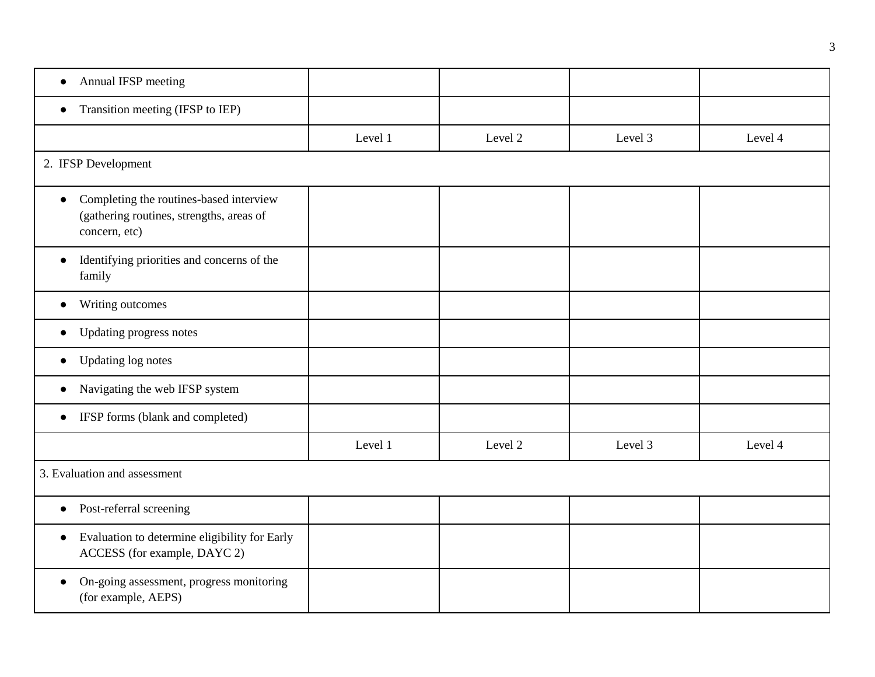| Annual IFSP meeting<br>$\bullet$                                                                                  |         |         |         |         |  |  |
|-------------------------------------------------------------------------------------------------------------------|---------|---------|---------|---------|--|--|
| Transition meeting (IFSP to IEP)<br>$\bullet$                                                                     |         |         |         |         |  |  |
|                                                                                                                   | Level 1 | Level 2 | Level 3 | Level 4 |  |  |
| 2. IFSP Development                                                                                               |         |         |         |         |  |  |
| Completing the routines-based interview<br>$\bullet$<br>(gathering routines, strengths, areas of<br>concern, etc) |         |         |         |         |  |  |
| Identifying priorities and concerns of the<br>$\bullet$<br>family                                                 |         |         |         |         |  |  |
| Writing outcomes<br>$\bullet$                                                                                     |         |         |         |         |  |  |
| Updating progress notes<br>$\bullet$                                                                              |         |         |         |         |  |  |
| Updating log notes<br>$\bullet$                                                                                   |         |         |         |         |  |  |
| Navigating the web IFSP system<br>$\bullet$                                                                       |         |         |         |         |  |  |
| IFSP forms (blank and completed)<br>$\bullet$                                                                     |         |         |         |         |  |  |
|                                                                                                                   | Level 1 | Level 2 | Level 3 | Level 4 |  |  |
| 3. Evaluation and assessment                                                                                      |         |         |         |         |  |  |
| Post-referral screening<br>$\bullet$                                                                              |         |         |         |         |  |  |
| Evaluation to determine eligibility for Early<br>$\bullet$<br>ACCESS (for example, DAYC 2)                        |         |         |         |         |  |  |
| On-going assessment, progress monitoring<br>(for example, AEPS)                                                   |         |         |         |         |  |  |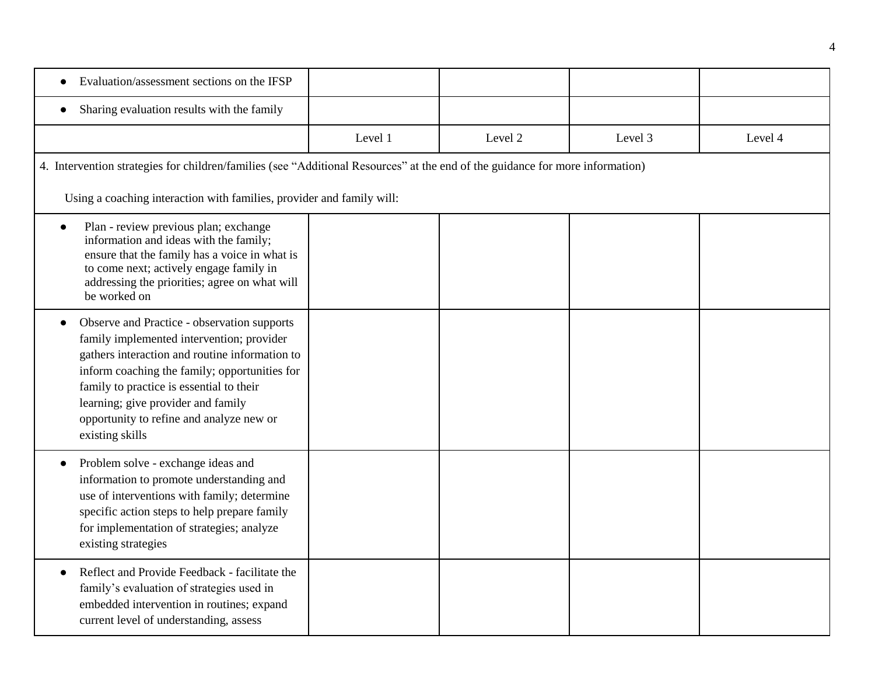| Evaluation/assessment sections on the IFSP                                                                                                                                                                                                                                                                                                   |         |         |         |         |  |  |
|----------------------------------------------------------------------------------------------------------------------------------------------------------------------------------------------------------------------------------------------------------------------------------------------------------------------------------------------|---------|---------|---------|---------|--|--|
| Sharing evaluation results with the family<br>$\bullet$                                                                                                                                                                                                                                                                                      |         |         |         |         |  |  |
|                                                                                                                                                                                                                                                                                                                                              | Level 1 | Level 2 | Level 3 | Level 4 |  |  |
| 4. Intervention strategies for children/families (see "Additional Resources" at the end of the guidance for more information)                                                                                                                                                                                                                |         |         |         |         |  |  |
| Using a coaching interaction with families, provider and family will:                                                                                                                                                                                                                                                                        |         |         |         |         |  |  |
| Plan - review previous plan; exchange<br>$\bullet$<br>information and ideas with the family;<br>ensure that the family has a voice in what is<br>to come next; actively engage family in<br>addressing the priorities; agree on what will<br>be worked on                                                                                    |         |         |         |         |  |  |
| Observe and Practice - observation supports<br>family implemented intervention; provider<br>gathers interaction and routine information to<br>inform coaching the family; opportunities for<br>family to practice is essential to their<br>learning; give provider and family<br>opportunity to refine and analyze new or<br>existing skills |         |         |         |         |  |  |
| Problem solve - exchange ideas and<br>$\bullet$<br>information to promote understanding and<br>use of interventions with family; determine<br>specific action steps to help prepare family<br>for implementation of strategies; analyze<br>existing strategies                                                                               |         |         |         |         |  |  |
| Reflect and Provide Feedback - facilitate the<br>$\bullet$<br>family's evaluation of strategies used in<br>embedded intervention in routines; expand<br>current level of understanding, assess                                                                                                                                               |         |         |         |         |  |  |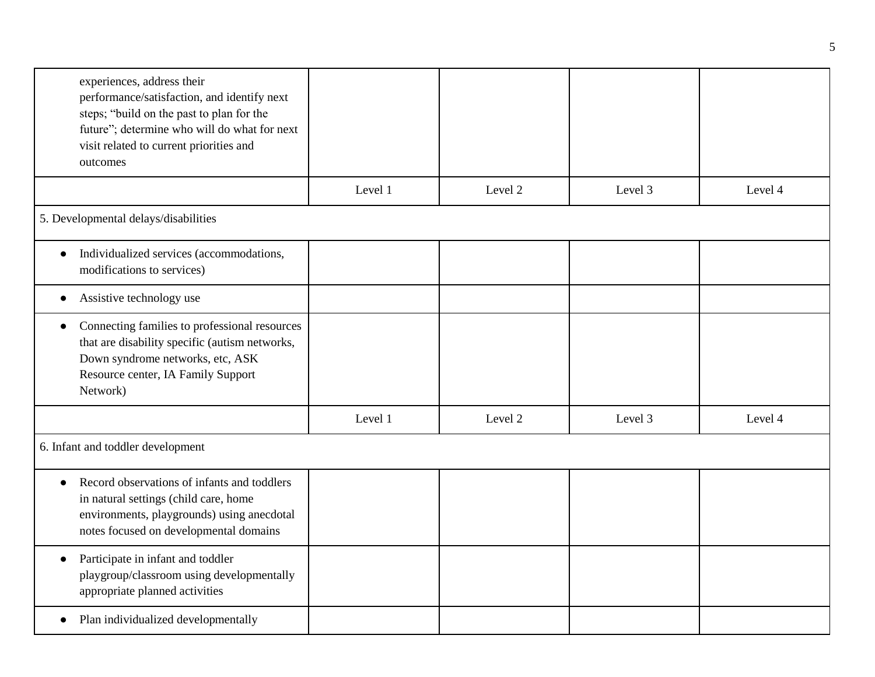| experiences, address their<br>performance/satisfaction, and identify next<br>steps; "build on the past to plan for the<br>future"; determine who will do what for next<br>visit related to current priorities and<br>outcomes |         |         |         |         |
|-------------------------------------------------------------------------------------------------------------------------------------------------------------------------------------------------------------------------------|---------|---------|---------|---------|
|                                                                                                                                                                                                                               | Level 1 | Level 2 | Level 3 | Level 4 |
| 5. Developmental delays/disabilities                                                                                                                                                                                          |         |         |         |         |
| Individualized services (accommodations,<br>$\bullet$<br>modifications to services)                                                                                                                                           |         |         |         |         |
| Assistive technology use<br>$\bullet$                                                                                                                                                                                         |         |         |         |         |
| Connecting families to professional resources<br>$\bullet$<br>that are disability specific (autism networks,<br>Down syndrome networks, etc, ASK<br>Resource center, IA Family Support<br>Network)                            |         |         |         |         |
|                                                                                                                                                                                                                               | Level 1 | Level 2 | Level 3 | Level 4 |
| 6. Infant and toddler development                                                                                                                                                                                             |         |         |         |         |
| Record observations of infants and toddlers<br>in natural settings (child care, home<br>environments, playgrounds) using anecdotal<br>notes focused on developmental domains                                                  |         |         |         |         |
| Participate in infant and toddler<br>$\bullet$<br>playgroup/classroom using developmentally<br>appropriate planned activities                                                                                                 |         |         |         |         |
| Plan individualized developmentally<br>$\bullet$                                                                                                                                                                              |         |         |         |         |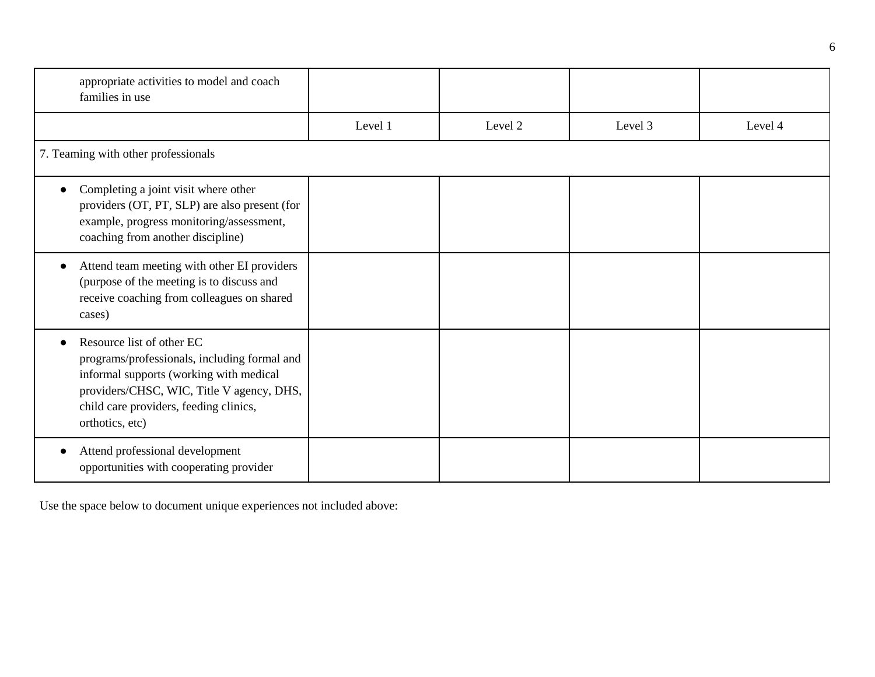| appropriate activities to model and coach<br>families in use                                                                                                                                                                   |         |         |         |         |  |  |
|--------------------------------------------------------------------------------------------------------------------------------------------------------------------------------------------------------------------------------|---------|---------|---------|---------|--|--|
|                                                                                                                                                                                                                                | Level 1 | Level 2 | Level 3 | Level 4 |  |  |
| 7. Teaming with other professionals                                                                                                                                                                                            |         |         |         |         |  |  |
| Completing a joint visit where other<br>providers (OT, PT, SLP) are also present (for<br>example, progress monitoring/assessment,<br>coaching from another discipline)                                                         |         |         |         |         |  |  |
| Attend team meeting with other EI providers<br>(purpose of the meeting is to discuss and<br>receive coaching from colleagues on shared<br>cases)                                                                               |         |         |         |         |  |  |
| Resource list of other EC<br>programs/professionals, including formal and<br>informal supports (working with medical<br>providers/CHSC, WIC, Title V agency, DHS,<br>child care providers, feeding clinics,<br>orthotics, etc) |         |         |         |         |  |  |
| Attend professional development<br>opportunities with cooperating provider                                                                                                                                                     |         |         |         |         |  |  |

Use the space below to document unique experiences not included above: